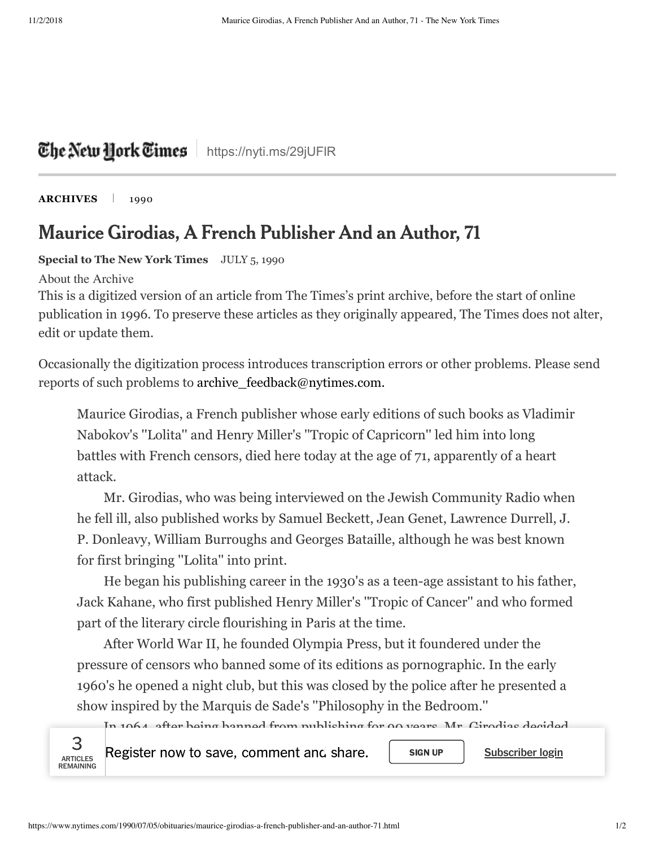## The Netu Hork Times | https://nyti.ms/29jUFIR

**[ARCHIVES](http://timesmachine.nytimes.com/browser)** | 1990

## Maurice Girodias, A French Publisher And an Author, 71

**Special to The New York Times** JULY 5, 1990

About the Archive

This is a digitized version of an article from The Times's print archive, before the start of online publication in 1996. To preserve these articles as they originally appeared, The Times does not alter, edit or update them.

Occasionally the digitization process introduces transcription errors or other problems. Please send reports of such problems to archive feedback@nytimes.com.

Maurice Girodias, a French publisher whose early editions of such books as Vladimir Nabokov's ''Lolita'' and Henry Miller's ''Tropic of Capricorn'' led him into long battles with French censors, died here today at the age of 71, apparently of a heart attack.

Mr. Girodias, who was being interviewed on the Jewish Community Radio when he fell ill, also published works by Samuel Beckett, Jean Genet, Lawrence Durrell, J. P. Donleavy, William Burroughs and Georges Bataille, although he was best known for first bringing ''Lolita'' into print.

He began his publishing career in the 1930's as a teen-age assistant to his father, Jack Kahane, who first published Henry Miller's ''Tropic of Cancer'' and who formed part of the literary circle flourishing in Paris at the time.

After World War II, he founded Olympia Press, but it foundered under the pressure of censors who banned some of its editions as pornographic. In the early 1960's he opened a night club, but this was closed by the police after he presented a show inspired by the Marquis de Sade's ''Philosophy in the Bedroom.''

In 1964, after being banned from publishing for 90 years, Mr. Girodias decided



 $\begin{array}{cc} 3 & \text{Res} \ 3 & \text{Res} \end{array}$  Register now to save, comment and share.  $\begin{array}{cc} \text{SUSC} & \text{SUSC} \end{array}$